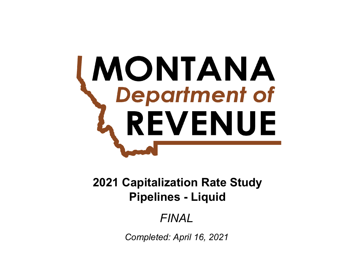# **MONTANA**<br>Charlinent of REVENUE

# **Pipelines - Liquid 2021 Capitalization Rate Study**

# *FINAL*

*Completed: April 16, 2021*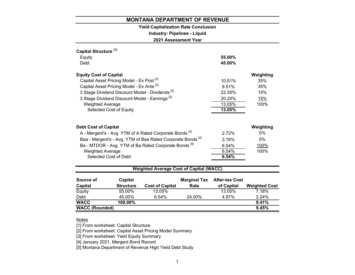# **Yield Capitalization Rate Conclusion**

**Industry: Pipelines - Liquid**

**2021 Assessment Year**

| Capital Structure <sup>[1]</sup><br>Equity<br>Debt                                                                                                                                                                                                                                                                             | 55.00%<br>45.00%                                        |                                                      |
|--------------------------------------------------------------------------------------------------------------------------------------------------------------------------------------------------------------------------------------------------------------------------------------------------------------------------------|---------------------------------------------------------|------------------------------------------------------|
| <b>Equity Cost of Capital</b><br>Capital Asset Pricing Model - Ex Post <sup>[2]</sup><br>Capital Asset Pricing Model - Ex Ante <sup>[2]</sup><br>3 Stage Dividend Discount Model - Dividends <sup>[3]</sup><br>3 Stage Dividend Discount Model - Earnings <sup>[3]</sup><br><b>Weighted Average</b><br>Selected Cost of Equity | 10.51%<br>8.51%<br>22.35%<br>20.25%<br>13.05%<br>13.05% | Weighting<br>35%<br>35%<br>15%<br><u>15%</u><br>100% |
| <b>Debt Cost of Capital</b><br>A - Mergent's - Avg. YTM of A Rated Corporate Bonds <sup>[4]</sup><br>Baa - Mergent's - Avg. YTM of Baa Rated Corporate Bonds <sup>[4]</sup><br>Ba - MTDOR - Avg. YTM of Ba Rated Corporate Bonds <sup>[5]</sup><br><b>Weighted Average</b><br>Selected Cost of Debt                            | 2.72%<br>3.16%<br>6.54%<br>6.54%<br>6.54%               | Weighting<br>$0\%$<br>$0\%$<br>100%<br>100%          |
| <b>Weighted Average Cost of Capital (WACC)</b><br>Capital<br>Source of                                                                                                                                                                                                                                                         | <b>Marginal Tax After-tax Cost</b>                      |                                                      |

| ouu ce ui             | <b>G</b> ullal   |                        | <b>Maryillar</b> Tax | AILEI-LAX UUSL |                      |
|-----------------------|------------------|------------------------|----------------------|----------------|----------------------|
| Capital               | <b>Structure</b> | <b>Cost of Capital</b> | Rate                 | of Capital     | <b>Weighted Cost</b> |
| Equity                | 55.00%           | 13.05%                 |                      | 13.05%         | 7.18%                |
| Debt                  | 45.00%           | 6.54%                  | 24.00%               | 4.97%          | 2.24%                |
| <b>WACC</b>           | $100.00\%$       |                        |                      |                | 9.41%                |
| <b>WACC (Rounded)</b> |                  |                        |                      |                | 9.45%                |
|                       |                  |                        |                      |                |                      |

# Notes

[1] From worksheet: Capital Structure

[2] From worksheet: Capital Asset Pricing Model Summary

[3] From worksheet: Yield Equity Summary

[4] January 2021, Mergent Bond Record

[5] Montana Department of Revenue High Yield Debt Study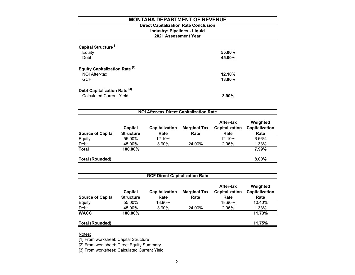# **Industry: Pipelines - Liquid Direct Capitalization Rate Conclusion**

# **2021 Assessment Year**

| Capital Structure <sup>[1]</sup><br>Equity<br>Debt                         | 55.00%<br>45.00% |
|----------------------------------------------------------------------------|------------------|
| <b>Equity Capitalization Rate [2]</b><br>NOI After-tax<br><b>GCF</b>       | 12.10%<br>18.90% |
| Debt Capitalization Rate <sup>[3]</sup><br><b>Calculated Current Yield</b> | $3.90\%$         |

| <b>NOI After-tax Direct Capitalization Rate</b> |                             |                        |                             |                                     |                                    |  |  |
|-------------------------------------------------|-----------------------------|------------------------|-----------------------------|-------------------------------------|------------------------------------|--|--|
| <b>Source of Capital</b>                        | Capital<br><b>Structure</b> | Capitalization<br>Rate | <b>Marginal Tax</b><br>Rate | After-tax<br>Capitalization<br>Rate | Weighted<br>Capitalization<br>Rate |  |  |
| Equity                                          | 55.00%                      | 12.10%                 |                             | 12.10%                              | 6.66%                              |  |  |
| Debt                                            | 45.00%                      | 3.90%                  | 24.00%                      | 2.96%                               | 1.33%                              |  |  |
| <b>Total</b>                                    | 100.00%                     |                        |                             |                                     | 7.99%                              |  |  |
| <b>Total (Rounded)</b>                          |                             |                        |                             |                                     | $8.00\%$                           |  |  |

| <b>GCF Direct Capitalization Rate</b> |                             |                               |                             |                                     |                                    |  |  |
|---------------------------------------|-----------------------------|-------------------------------|-----------------------------|-------------------------------------|------------------------------------|--|--|
| <b>Source of Capital</b>              | Capital<br><b>Structure</b> | <b>Capitalization</b><br>Rate | <b>Marginal Tax</b><br>Rate | After-tax<br>Capitalization<br>Rate | Weighted<br>Capitalization<br>Rate |  |  |
| Equity                                | 55.00%                      | 18.90%                        |                             | 18.90%                              | 10.40%                             |  |  |
| Debt                                  | 45.00%                      | 3.90%                         | 24.00%                      | 2.96%                               | 1.33%                              |  |  |
| <b>WACC</b>                           | 100.00%                     |                               |                             |                                     | 11.73%                             |  |  |
| <b>Total (Rounded)</b>                |                             |                               |                             |                                     | 11.75%                             |  |  |

Notes:

[1] From worksheet: Capital Structure

[2] From worksheet: Direct Equity Summary

[3] From worksheet: Calculated Current Yield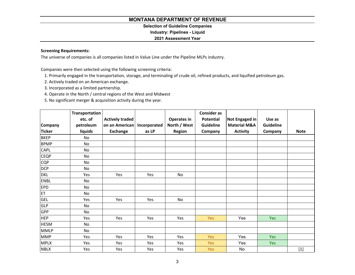# **Selection of Guideline Companies**

# **Industry: Pipelines - Liquid**

# **2021 Assessment Year**

# **Screening Requirements:**

The universe of companies is all companies listed in Value Line under the Pipeline MLPs industry.

Companies were then selected using the following screening criteria:

- 1. Primarily engaged in the transportation, storage, and terminaling of crude oil, refined products, and liquified petroleum gas.
- 2. Actively traded on an American exchange.
- 3. Incorporated as <sup>a</sup> limited partnership.
- 4. Operate in the North / central regions of the West and Midwest
- 5. No significant merger & acquisition activity during the year.

|               | Transportation |                        |              |                    | <b>Consider as</b> |                         |                  |             |
|---------------|----------------|------------------------|--------------|--------------------|--------------------|-------------------------|------------------|-------------|
|               | etc. of        | <b>Actively traded</b> |              | <b>Operates in</b> | <b>Potential</b>   | Not Engaged in          | Use as           |             |
| Company       | petroleum      | on an American         | Incorporated | North / West       | Guideline          | <b>Material M&amp;A</b> | <b>Guideline</b> |             |
| <b>Ticker</b> | liquids        | <b>Exchange</b>        | as LP        | Region             | Company            | <b>Activity</b>         | Company          | <b>Note</b> |
| <b>BKEP</b>   | No             |                        |              |                    |                    |                         |                  |             |
| <b>BPMP</b>   | No             |                        |              |                    |                    |                         |                  |             |
| <b>CAPL</b>   | <b>No</b>      |                        |              |                    |                    |                         |                  |             |
| <b>CEQP</b>   | No             |                        |              |                    |                    |                         |                  |             |
| <b>CQP</b>    | No             |                        |              |                    |                    |                         |                  |             |
| <b>DCP</b>    | <b>No</b>      |                        |              |                    |                    |                         |                  |             |
| <b>DKL</b>    | Yes            | Yes                    | Yes          | <b>No</b>          |                    |                         |                  |             |
| <b>ENBL</b>   | No             |                        |              |                    |                    |                         |                  |             |
| <b>EPD</b>    | No             |                        |              |                    |                    |                         |                  |             |
| ET            | No             |                        |              |                    |                    |                         |                  |             |
| <b>GEL</b>    | Yes            | Yes                    | Yes          | No                 |                    |                         |                  |             |
| <b>GLP</b>    | No             |                        |              |                    |                    |                         |                  |             |
| GPP           | <b>No</b>      |                        |              |                    |                    |                         |                  |             |
| <b>HEP</b>    | Yes            | Yes                    | Yes          | Yes                | Yes                | Yes                     | Yes              |             |
| <b>HESM</b>   | No             |                        |              |                    |                    |                         |                  |             |
| <b>MMLP</b>   | <b>No</b>      |                        |              |                    |                    |                         |                  |             |
| <b>MMP</b>    | Yes            | Yes                    | Yes          | Yes                | <b>Yes</b>         | Yes                     | <b>Yes</b>       |             |
| <b>MPLX</b>   | Yes            | Yes                    | Yes          | Yes                | Yes                | Yes                     | <b>Yes</b>       |             |
| <b>NBLX</b>   | Yes            | Yes                    | Yes          | Yes                | Yes                | No                      |                  | $[1]$       |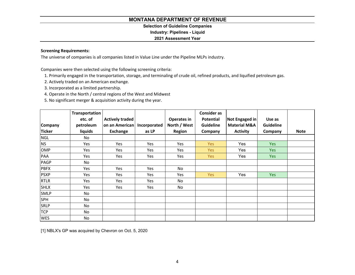# **Selection of Guideline Companies**

**Industry: Pipelines - Liquid**

# **2021 Assessment Year**

# **Screening Requirements:**

The universe of companies is all companies listed in Value Line under the Pipeline MLPs industry.

Companies were then selected using the following screening criteria:

- 1. Primarily engaged in the transportation, storage, and terminaling of crude oil, refined products, and liquified petroleum gas.
- 2. Actively traded on an American exchange.
- 3. Incorporated as <sup>a</sup> limited partnership.
- 4. Operate in the North / central regions of the West and Midwest
- 5. No significant merger & acquisition activity during the year.

|                | Transportation |                        |              |               | <b>Consider as</b> |                         |            |             |
|----------------|----------------|------------------------|--------------|---------------|--------------------|-------------------------|------------|-------------|
|                | etc. of        | <b>Actively traded</b> |              | Operates in   | Potential          | Not Engaged in          | Use as     |             |
| <b>Company</b> | petroleum      | on an American         | Incorporated | North / West  | <b>Guideline</b>   | <b>Material M&amp;A</b> | Guideline  |             |
| <b>Ticker</b>  | liquids        | Exchange               | as LP        | <b>Region</b> | Company            | <b>Activity</b>         | Company    | <b>Note</b> |
| <b>NGL</b>     | No.            |                        |              |               |                    |                         |            |             |
| <b>NS</b>      | Yes            | Yes                    | Yes          | Yes           | Yes                | Yes                     | <b>Yes</b> |             |
| <b>OMP</b>     | Yes            | Yes                    | Yes          | Yes           | Yes                | Yes                     | Yes        |             |
| PAA            | Yes            | Yes                    | Yes          | Yes           | Yes                | Yes                     | Yes        |             |
| <b>PAGP</b>    | No             |                        |              |               |                    |                         |            |             |
| <b>PBFX</b>    | Yes            | Yes                    | Yes          | No            |                    |                         |            |             |
| <b>PSXP</b>    | Yes            | Yes                    | Yes          | Yes           | Yes                | Yes                     | Yes        |             |
| <b>RTLR</b>    | Yes            | Yes                    | Yes          | No            |                    |                         |            |             |
| <b>SHLX</b>    | Yes            | Yes                    | Yes          | No            |                    |                         |            |             |
| <b>SMLP</b>    | No             |                        |              |               |                    |                         |            |             |
| <b>SPH</b>     | No             |                        |              |               |                    |                         |            |             |
| <b>SRLP</b>    | No             |                        |              |               |                    |                         |            |             |
| <b>TCP</b>     | No             |                        |              |               |                    |                         |            |             |
| <b>WES</b>     | No             |                        |              |               |                    |                         |            |             |

[1] NBLX's GP was acquired by Chevron on Oct. 5, 2020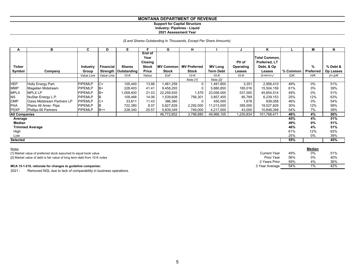# **Support for Capital Structure Industry: Pipelines - Liquid 2021 Assessment Year**

# *(\$ and Shares Outstanding In Thousands, Except Per Share Amounts)*

| A                    | в                                  | C              | D          | Е                      | F.                                               | G                | н                   |                  | J                         | ĸ                                                   |          | м         | N         |
|----------------------|------------------------------------|----------------|------------|------------------------|--------------------------------------------------|------------------|---------------------|------------------|---------------------------|-----------------------------------------------------|----------|-----------|-----------|
| <b>Ticker</b>        |                                    | Industry       | Financial  | <b>Shares</b>          | End of<br>Year<br><b>Closing</b><br><b>Stock</b> | <b>MV Common</b> | <b>MV Preferred</b> | <b>MV Long</b>   | PV of<br><b>Operating</b> | <b>Total Common.</b><br>Preferred, LT<br>Debt, & Op |          | %         | % Debt &  |
| Symbol               | Company                            | Group          |            | Strength   Outstanding | <b>Price</b>                                     | Stock            | <b>Stock</b>        | <b>Term Debt</b> | Leases                    | Leases                                              | % Common | Preferred | Op Leases |
|                      |                                    | Value Line     | Value Line | $10-K$                 | Yahoo                                            | ExF              | $10-K$              | $10-K$           | $10-K$                    | $G+H+I+J$                                           | G/K      | H/K       | (I+J)/K   |
|                      |                                    |                |            |                        |                                                  |                  | Note [1]            | Note [2]         |                           |                                                     |          |           |           |
| <b>HEP</b>           | Holly Energy Part.                 | PIPEMLP        | $C+$       | 105,440                | 13.86                                            | 1,461,259        |                     | 1,491,800        | 3,351                     | 2,956,410                                           | 49%      | 0%        | 51%       |
| <b>MMP</b>           | Magellan Midstream                 | <b>PIPEMLP</b> | B+         | 228,403                | 41.41                                            | 9,458,293        |                     | 5,880,850        | 165,016                   | 15,504,159                                          | 61%      | $0\%$     | 39%       |
| <b>MPLX</b>          | <b>MPLX LP</b>                     | <b>PIPEMLP</b> | B+         | 1,058,400              | 21.03                                            | 22,259,935       | 1,579               | 23,056,000       | 537,000                   | 45,854,514                                          | 49%      | $0\%$     | 51%       |
| <b>NS</b>            | NuStar Energy L.P.                 | <b>PIPEMLP</b> |            | 109,468                | 14.06                                            | 1,539,608        | 756,301             | 3,857,455        | 85,789                    | 6,239,153                                           | 25%      | 12%       | 63%       |
| <b>OMP</b>           | <b>Oasis Midstream Partners LP</b> | <b>PIPEMLP</b> | C+         | 33,811                 | 11.43                                            | 386,380          |                     | 450,000          | 1,678                     | 838,058                                             | 46%      | $0\%$     | 54%       |
| PAA                  | Plains All Amer. Pipe.             | <b>PIPEMLP</b> | B          | 722,380                | 8.07                                             | 5,827,829        | 2,292,000           | 11,013,000       | 395,000                   | 19,527,829                                          | 30%      | 12%       | 58%       |
| <b>PSXP</b>          | Phillips 66 Partners               | <b>PIPEMLP</b> | $B++$      | 228,340                | 25.57                                            | 5,839,349        | 749,000             | 4,217,000        | 43,000                    | 10,848,349                                          | 54%      | 7%        | 39%       |
| <b>All Companies</b> |                                    |                |            |                        |                                                  | 46,772,652       | 3,798,880           | 49,966,105       | 1,230,834                 | 101,768,471                                         | 46%      | 4%        | 50%       |
| Average              |                                    |                |            |                        |                                                  |                  |                     |                  |                           |                                                     | 45%      | 4%        | 51%       |
| Median               |                                    |                |            |                        |                                                  |                  |                     |                  |                           |                                                     | 49%      | 0%        | 51%       |
|                      | <b>Trimmed Average</b>             |                |            |                        |                                                  |                  |                     |                  |                           |                                                     | 46%      | 4%        | 51%       |
| High                 |                                    |                |            |                        |                                                  |                  |                     |                  |                           |                                                     | 61%      | 12%       | 63%       |
| Low                  |                                    |                |            |                        |                                                  |                  |                     |                  |                           |                                                     | 25%      | 0%        | 39%       |
| <b>Selected</b>      |                                    |                |            |                        |                                                  |                  |                     |                  |                           |                                                     | 55%      |           | 45%       |

| Notes                                                                    |                     |      | <b>Median</b> |     |
|--------------------------------------------------------------------------|---------------------|------|---------------|-----|
| [1] Market value of preferred stock assumed to equal book value          | <b>Current Year</b> | 49%  | 0%            | 51% |
| [2] Market value of debt is fair value of long term debt from 10-K notes | Prior Year          | .56% | 0%            | 40% |
|                                                                          | 2 Years Prior       | 59%  | 4%            | 36% |
| MCA 15-1-210, rationale for changes to guideline companies:              | 3 Year Average      | 54%  | $1\%$         | 42% |

2021 - Removed NGL due to lack of comparability in business operations.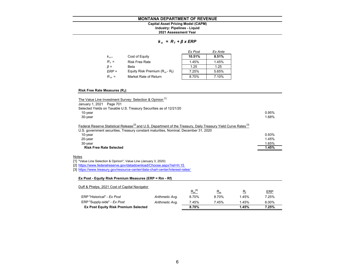# **MONTANA DEPARTMENT OF REVENUECapital Asset Pricing Model (CAPM)**

# **Industry: Pipelines - Liquid**

**2021 Assessment Year**

# *k <sup>e</sup>= R <sup>f</sup><sup>+</sup>β x ERP*

|              |                                   | Ex Post | Ex Ante |
|--------------|-----------------------------------|---------|---------|
| $K_{\alpha}$ | Cost of Equity                    | 10.51%  | 8.51%   |
| $R_f =$      | <b>Risk Free Rate</b>             | 1.45%   | 1.45%   |
| $\beta =$    | Beta                              | 1.25    | 1.25    |
| $ERP =$      | Equity Risk Premium $(R_m - R_f)$ | 7.25%   | 5.65%   |
| $R_m =$      | Market Rate of Return             | 8.70%   | 7.10%   |

# **Risk Free Rate Measures (Rf):**

| The Value Line Investment Survey: Selection & Opinion [1]<br>January 1, 2021 Page 701                                                                                                                                           |       |
|---------------------------------------------------------------------------------------------------------------------------------------------------------------------------------------------------------------------------------|-------|
| Selected Yields on Taxable U.S. Treasury Securities as of 12/21/20                                                                                                                                                              |       |
| $10$ -year                                                                                                                                                                                                                      | 0.95% |
| 30-year                                                                                                                                                                                                                         | 1.68% |
| Federal Reserve Statistical Release <sup>[2]</sup> and U.S. Department of the Treasury, Daily Treasury Yield Curve Rates <sup>[3]</sup><br>U.S. government securities, Treasury constant maturities, Nominal, December 31, 2020 |       |
| $10$ -year                                                                                                                                                                                                                      | 0.93% |
| $20$ -year                                                                                                                                                                                                                      | 1.45% |
| 30-year                                                                                                                                                                                                                         | 1.65% |
| <b>Risk Free Rate Selected</b>                                                                                                                                                                                                  | 1.45% |

# <u>Notes</u>

[1] "Value Line Selection & Opinion", Value Line (January 3, 2020)

[2] https://www.federalreserve.gov/datadownload/Choose.aspx?rel=H.15

[3] https://www.treasury.gov/resource-center/data-chart-center/interest-rates/

# **Ex Post - Equity Risk Premium Measures (ERP = Rm - Rf)**

| Duff & Phelps, 2021 Cost of Capital Navigator |                 |             |       |       |            |
|-----------------------------------------------|-----------------|-------------|-------|-------|------------|
|                                               |                 | $R_m^{[4]}$ | $R_m$ | $R_f$ | <b>ERP</b> |
| ERP "Historical" - Ex Post                    | Arithmetic Avg. | 8.70%       | 8.70% | 1.45% | 7.25%      |
| ERP "Supply-side" - Ex Post                   | Arithmetic Avg. | 7.45%       | 7.45% | 1.45% | 6.00%      |
| <b>Ex Post Equity Risk Premium Selected</b>   |                 | 8.70%       |       | 1.45% | 7.25%      |
|                                               |                 |             |       |       |            |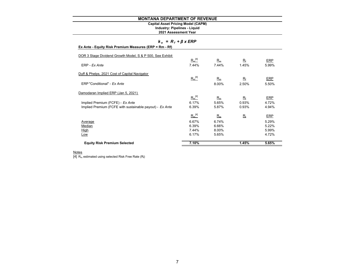# **Capital Asset Pricing Model (CAPM)**

**2021 Assessment Year Industry: Pipelines - Liquid**

# *k <sup>e</sup>= R <sup>f</sup><sup>+</sup>β x ERP*

|  | Ex Ante - Equity Risk Premium Measures (ERP = Rm - Rf) |  |
|--|--------------------------------------------------------|--|

| 7.44%<br>6.17% | 8.00%<br>5.65% |             | 4.72%      |
|----------------|----------------|-------------|------------|
|                |                |             |            |
|                |                |             | 5.99%      |
| 6.39%          | 6.66%          |             | 5.22%      |
| 6.67%          | 6.74%          |             | 5.29%      |
| $R_m^{[4]}$    | $R_m$          | $R_{\rm f}$ | <b>ERP</b> |
| 6.39%          | 5.87%          | 0.93%       | 4.94%      |
| 6.17%          | 5.65%          | 0.93%       | 4.72%      |
|                | $R_m$          | $R_{\rm f}$ | <b>ERP</b> |
|                |                |             |            |
|                | 8.00%          | 2.50%       | 5.50%      |
| $R_m^{[4]}$    | $R_m$          | $R_{\rm f}$ | <b>ERP</b> |
|                |                |             |            |
| 7.44%          | 7.44%          | 1.45%       | 5.99%      |
| $R_m^{[4]}$    | $R_m$          | $R_{\rm f}$ | <b>ERP</b> |
|                | $R_m^{[4]}$    |             |            |

<u>Notes</u><br>[4] R<sub>m</sub> estimated using selected Risk Free Rate (R<sub>t</sub>)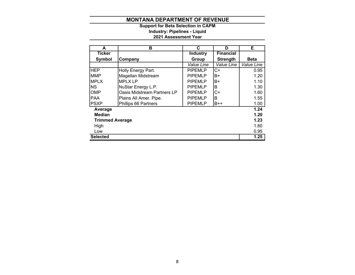**2021 Assessment Year Industry: Pipelines - Liquid Support for Beta Selection in CAPM**

| A                      | в                           | C               | D                | Е           |
|------------------------|-----------------------------|-----------------|------------------|-------------|
| <b>Ticker</b>          |                             | <b>Industry</b> | <b>Financial</b> |             |
| Symbol                 | Company                     | Group           | <b>Strength</b>  | <b>Beta</b> |
|                        |                             | Value Line      | Value Line       | Value Line  |
| <b>IHEP</b>            | Holly Energy Part.          | <b>PIPEMLP</b>  | $C+$             | 0.95        |
| <b>MMP</b>             | Magellan Midstream          | <b>PIPEMLP</b>  | В+               | 1.20        |
| <b>MPLX</b>            | <b>MPLX LP</b>              | <b>PIPEMLP</b>  | B+               | 1.10        |
| <b>NS</b>              | NuStar Energy L.P.          | <b>PIPEMLP</b>  | B                | 1.30        |
| <b>OMP</b>             | Oasis Midstream Partners LP | <b>PIPEMLP</b>  | C+               | 1.60        |
| <b>PAA</b>             | Plains All Amer. Pipe.      | <b>PIPEMLP</b>  | B                | 1.55        |
| <b>PSXP</b>            | Phillips 66 Partners        | <b>PIPEMLP</b>  | $B++$            | 1.00        |
| Average                |                             |                 |                  | 1.24        |
| Median                 |                             |                 |                  | 1.20        |
| <b>Trimmed Average</b> |                             |                 |                  | 1.23        |
| High                   |                             |                 |                  | 1.60        |
| Low                    |                             |                 |                  | 0.95        |
| <b>Selected</b>        |                             |                 |                  | 1.25        |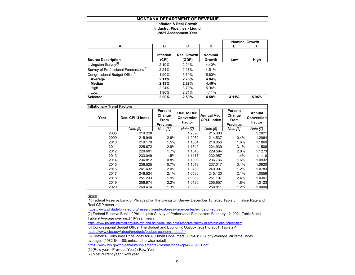# **Inflation & Real GrowthIndustry: Pipelines - Liquid**

## **2021 Assessment Year**

|                                                   |                           |                             |                          |       | <b>Nominal Growth</b> |
|---------------------------------------------------|---------------------------|-----------------------------|--------------------------|-------|-----------------------|
| A                                                 | в                         | C                           | D                        | Е     | F                     |
| <b>Source Description</b>                         | <b>Inflation</b><br>(CPI) | <b>Real Growth</b><br>(GDP) | <b>Nominal</b><br>Growth | Low   | High                  |
| Livingston Survey <sup>[1]</sup>                  | 2.19%                     | 2.21%                       | 4.40%                    |       |                       |
| Survey of Professional Forecasters <sup>[2]</sup> | 2.24%                     | 2.27%                       | 4.51%                    |       |                       |
| Congressional Budget Office <sup>[3]</sup>        | 1.90%                     | 3.70%                       | 5.60%                    |       |                       |
| Average                                           | 2.11%                     | 2.73%                       | 4.84%                    |       |                       |
| Median                                            | 2.19%                     | 2.27%                       | 4.46%                    |       |                       |
| High                                              | 2.24%                     | 3.70%                       | 5.94%                    |       |                       |
| Low                                               | 1.90%                     | 2.21%                       | 4.11%                    |       |                       |
| <b>Selected</b>                                   | 2.00%                     | 2.50%                       | 4.50%                    | 4.11% | 5.94%                 |

| <b>Inflationary Trend Factors</b> |                  |          |                                                    |                                   |                                                     |                                              |
|-----------------------------------|------------------|----------|----------------------------------------------------|-----------------------------------|-----------------------------------------------------|----------------------------------------------|
| Year                              | Dec. CPI-U Index |          | Dec. to Dec.<br><b>Conversion</b><br><b>Factor</b> | Annual Avg.<br><b>CPI-U Index</b> | Percent<br>Change<br><b>From</b><br><b>Previous</b> | Annual<br><b>Conversion</b><br><b>Factor</b> |
|                                   | Note [5]         | Note [6] | <b>Note [7]</b>                                    | Note [5]                          | Note [6]                                            | Note [7]                                     |
| 2008                              | 210.228          |          | 1.2390                                             | 215.303                           |                                                     | 1.2021                                       |
| 2009                              | 215.949          | 2.6%     | 1.2062                                             | 214.537                           | $-0.4%$                                             | 1.2064                                       |
| 2010                              | 219.179          | 1.5%     | 1.1884                                             | 218.056                           | 1.6%                                                | 1.1869                                       |
| 2011                              | 225.672          | 2.9%     | 1.1542                                             | 224.939                           | 3.1%                                                | 1.1506                                       |
| 2012                              | 229.601          | 1.7%     | 1.1345                                             | 229.594                           | 2.0%                                                | 1.1273                                       |
| 2013                              | 233.049          | 1.5%     | 1.1177                                             | 232.957                           | 1.4%                                                | 1.1110                                       |
| 2014                              | 234.812          | 0.8%     | 1.1093                                             | 236.736                           | 1.6%                                                | 1.0932                                       |
| 2015                              | 236.525          | 0.7%     | 1.1013                                             | 237.017                           | 0.1%                                                | 1.0920                                       |
| 2016                              | 241.432          | 2.0%     | 1.0789                                             | 240.007                           | 1.2%                                                | 1.0783                                       |
| 2017                              | 246.524          | 2.1%     | 1.0566                                             | 245.120                           | 2.1%                                                | 1.0559                                       |
| 2018                              | 251.233          | 1.9%     | 1.0368                                             | 251.107                           | 2.4%                                                | 1.0307                                       |
| 2019                              | 256.974          | 2.2%     | 1.0136                                             | 255.657                           | 1.8%                                                | 1.0123                                       |
| 2020                              | 260.474          | 1.3%     | 1.0000                                             | 258.811                           | 1.2%                                                | 1.0000                                       |

<u>Notes</u>

[1] Federal Reserve Bank of Philadelphia The Livingston Survey December 18, 2020 Table 3 Inflation Rate and Real GDP mean

https://www.philadelphiafed.org/research-and-data/real-time-center/livingston-survey

[2] Federal Reserve Bank of Philadelphia Survey of Professional Forecasters February 12, 2021 Table 8 and Table 9 Average over next 10-Year mean

https://www.philadelphiafed.org/surveys-and-data/real-time-data-research/survey-of-professional-forecasters

[3] Congressional Budget Office, The Budget and Economic Outlook: 2021 to 2031, Table 2-1

https://www.cbo.gov/about/products/budget-economic-data#4

[5] Historical Consumer Price Index for All Urban Consumers (CPI-U): U.S. city average, all items, index averages (1982-84=100, unless otherwise noted)

https://www.bls.gov/cpi/tables/supplemental-files/historical-cpi-u-202001.pdf

[6] (Row year - Previous Year) / Row Year

[7] Most current year / Row year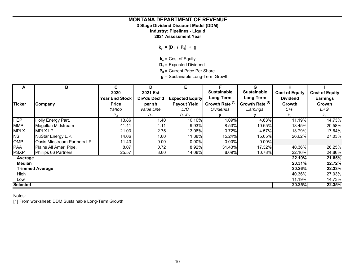**3 Stage Dividend Discount Model (DDM)**

**Industry: Pipelines - Liquid**

**2021 Assessment Year**

 $k_e = (D_1 / P_0) + g$ 

**k<sub>e</sub>** = Cost of Equity

**D<sub>1</sub>** = Expected Dividend

**P<sub>0</sub>** = Current Price Per Share

**g =** Sustainable Long-Term Growth

| A               | В                                   | C                     | D             | Е                      | F                          | G                          | н                     |                       |
|-----------------|-------------------------------------|-----------------------|---------------|------------------------|----------------------------|----------------------------|-----------------------|-----------------------|
|                 |                                     | 2020                  | 2021 Est      |                        | <b>Sustainable</b>         | <b>Sustainable</b>         | <b>Cost of Equity</b> | <b>Cost of Equity</b> |
|                 |                                     | <b>Year End Stock</b> | Div'ds Decl'd | <b>Expected Equity</b> | Long-Term                  | Long-Term                  | <b>Dividend</b>       | <b>Earnings</b>       |
| <b>Ticker</b>   | Company                             | <b>Price</b>          | per sh        | <b>Payout Yield</b>    | Growth Rate <sup>[1]</sup> | Growth Rate <sup>[1]</sup> | <b>Growth</b>         | Growth                |
|                 |                                     | Yahoo                 | Value Line    | D/C                    | <b>Dividends</b>           | Earnings                   | E+F                   | $E+G$                 |
|                 |                                     | $P_0$                 | $D_1$         | $D_1/P_0$              | g                          | g                          | $k_e$                 | $k_e$                 |
| <b>HEP</b>      | Holly Energy Part.                  | 13.86                 | 1.40          | 10.10%                 | 1.09%                      | 4.63%                      | 11.19%                | 14.73%                |
| <b>MMP</b>      | Magellan Midstream                  | 41.41                 | 4.11          | 9.93%                  | 8.53%                      | 10.65%                     | 18.45%                | 20.58%                |
| <b>MPLX</b>     | <b>MPLX LP</b>                      | 21.03                 | 2.75          | 13.08%                 | 0.72%                      | 4.57%                      | 13.79%                | 17.64%                |
| <b>NS</b>       | NuStar Energy L.P.                  | 14.06                 | 1.60          | 11.38%                 | 15.24%                     | 15.65%                     | 26.62%                | 27.03%                |
| <b>OMP</b>      | <b>IOasis Midstream Partners LP</b> | 11.43                 | 0.00          | $0.00\%$               | $0.00\%$                   | 0.00%                      |                       |                       |
| <b>PAA</b>      | Plains All Amer. Pipe.              | 8.07                  | 0.72          | 8.92%                  | 31.43%                     | 17.32%                     | 40.36%                | 26.25%                |
| <b>PSXP</b>     | Phillips 66 Partners                | 25.57                 | 3.60          | 14.08%                 | 8.09%                      | 10.78%                     | 22.16%                | 24.86%                |
| Average         |                                     |                       |               |                        |                            |                            | 22.10%                | 21.85%                |
| <b>Median</b>   |                                     |                       |               |                        |                            |                            | 20.31%                | 22.72%                |
|                 | <b>Trimmed Average</b>              |                       |               |                        |                            |                            | 20.26%                | 22.33%                |
| High            |                                     |                       |               |                        |                            |                            | 40.36%                | 27.03%                |
| Low             |                                     |                       |               |                        |                            |                            | 11.19%                | 14.73%                |
| <b>Selected</b> |                                     |                       |               |                        |                            |                            | 20.25%                | 22.35%                |

<u>Notes:</u>

[1] From worksheet: DDM Sustainable Long-Term Growth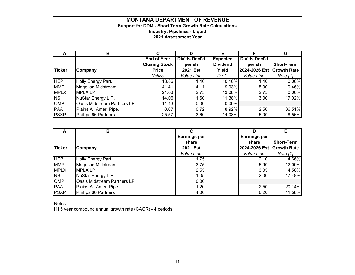# **Support for DDM - Short Term Growth Rate Calculations Industry: Pipelines - Liquid 2021 Assessment Year**

| A             | в                           |                      | D               |                 |               | G                  |
|---------------|-----------------------------|----------------------|-----------------|-----------------|---------------|--------------------|
|               |                             | <b>End of Year</b>   | Div'ds Decl'd   | <b>Expected</b> | Div'ds Decl'd |                    |
|               |                             | <b>Closing Stock</b> | per sh          | <b>Dividend</b> | per sh        | <b>Short-Term</b>  |
| <b>Ticker</b> | Company                     | <b>Price</b>         | <b>2021 Est</b> | Yield           | 2024-2026 Est | <b>Growth Rate</b> |
|               |                             | Yahoo                | Value Line      | D/C             | Value Line    | Note [1]           |
| <b>HEP</b>    | Holly Energy Part.          | 13.86                | 1.40            | 10.10%          | 1.40          | $0.00\%$           |
| <b>MMP</b>    | Magellan Midstream          | 41.41                | 4.11            | 9.93%           | 5.90          | 9.46%              |
| <b>MPLX</b>   | <b>MPLX LP</b>              | 21.03                | 2.75            | 13.08%          | 2.75          | $0.00\%$           |
| <b>NS</b>     | NuStar Energy L.P.          | 14.06                | 1.60            | 11.38%          | 3.00          | 17.02%             |
| <b>OMP</b>    | Oasis Midstream Partners LP | 11.43                | 0.00            | $0.00\%$        |               |                    |
| PAA           | Plains All Amer. Pipe.      | 8.07                 | 0.72            | 8.92%           | 2.50          | 36.51%             |
| <b>PSXP</b>   | Phillips 66 Partners        | 25.57                | 3.60            | 14.08%          | 5.00          | 8.56%              |

| A             | B                           |                     | D                   | Е                  |
|---------------|-----------------------------|---------------------|---------------------|--------------------|
|               |                             | <b>Earnings per</b> | <b>Earnings per</b> |                    |
|               |                             | share               | share               | <b>Short-Term</b>  |
| <b>Ticker</b> | Company                     | <b>2021 Est</b>     | 2024-2026 Est       | <b>Growth Rate</b> |
|               |                             | Value Line          | Value Line          | Note [1]           |
| <b>HEP</b>    | Holly Energy Part.          | 1.75                |                     | 4.66%<br>2.10      |
| <b>MMP</b>    | Magellan Midstream          | 3.75                |                     | 12.00%<br>5.90     |
| <b>MPLX</b>   | <b>MPLX LP</b>              | 2.55                |                     | 4.58%<br>3.05      |
| <b>NS</b>     | NuStar Energy L.P.          | 1.05                |                     | 17.48%<br>2.00     |
| <b>OMP</b>    | Oasis Midstream Partners LP | 0.00                |                     |                    |
| <b>PAA</b>    | Plains All Amer. Pipe.      | 1.20                |                     | 20.14%<br>2.50     |
| <b>PSXP</b>   | Phillips 66 Partners        | 4.00                |                     | 11.58%<br>6.20     |

Notes

[1] 5 year compound annual growth rate (CAGR) - 4 periods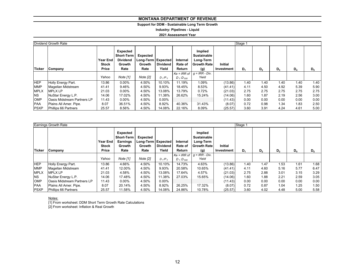# **Support for DDM - Sustainable Long Term Growth**

**Industry: Pipelines - Liquid**

**2021 Assessment Year**

|             | Dividend Growth Rate               |                                   | Stage 1                                                                   |                                                    |                          |                               |                                                                         |                              |       |                |       |       |       |
|-------------|------------------------------------|-----------------------------------|---------------------------------------------------------------------------|----------------------------------------------------|--------------------------|-------------------------------|-------------------------------------------------------------------------|------------------------------|-------|----------------|-------|-------|-------|
| Ticker      | Company                            | Year End<br><b>Stock</b><br>Price | Expected<br><b>Short-Term</b><br><b>Dividend</b><br><b>Growth</b><br>Rate | Expected<br>Long-Term   Expected<br>Growth<br>Rate | <b>Dividend</b><br>Yield | Internal<br>Rate of<br>Return | Implied<br><b>Sustainable</b><br>Long-Term<br><b>Growth Rate</b><br>(g) | <b>Initial</b><br>Investment | $D_1$ | D <sub>2</sub> | $D_3$ | $D_4$ | $D_5$ |
|             |                                    |                                   |                                                                           |                                                    |                          |                               | $Ke = IRR$ of $ g = IRR - Div.$                                         |                              |       |                |       |       |       |
|             |                                    | Yahoo                             | Note [1]                                                                  | Note [2]                                           | $D_1/P_0$                | $D_1$ : $D_{500}$             | Yield                                                                   |                              |       |                |       |       |       |
| <b>HEP</b>  | Holly Energy Part.                 | 13.86                             | $0.00\%$                                                                  | 4.50%                                              | 10.10%                   | 11.19%                        | 1.09%                                                                   | (13.86)                      | 1.40  | 1.40           | 1.40  | 1.40  | 1.40  |
| <b>MMP</b>  | Magellan Midstream                 | 41.41                             | 9.46%                                                                     | 4.50%                                              | 9.93%                    | 18.45%                        | 8.53%                                                                   | (41.41)                      | 4.11  | 4.50           | 4.92  | 5.39  | 5.90  |
| <b>MPLX</b> | <b>MPLXLP</b>                      | 21.03                             | $0.00\%$                                                                  | 4.50%                                              | 13.08%                   | 13.79%                        | 0.72%                                                                   | (21.03)                      | 2.75  | 2.75           | 2.75  | 2.75  | 2.75  |
| <b>NS</b>   | NuStar Energy L.P.                 | 14.06                             | 17.02%                                                                    | 4.50%                                              | 11.38%                   | 26.62%                        | 15.24%                                                                  | (14.06)                      | 1.60  | 1.87           | 2.19  | 2.56  | 3.00  |
| <b>OMP</b>  | <b>Oasis Midstream Partners LP</b> | 11.43                             | $0.00\%$                                                                  | 4.50%                                              | $0.00\%$                 |                               |                                                                         | (11.43)                      | 0.00  | 0.00           | 0.00  | 0.00  | 0.00  |
| <b>PAA</b>  | Plains All Amer. Pipe.             | 8.07                              | 36.51%                                                                    | 4.50%                                              | 8.92%                    | 40.36%                        | 31.43%                                                                  | (8.07)                       | 0.72  | 0.98           | 1.34  | 1.83  | 2.50  |
| <b>PSXP</b> | Phillips 66 Partners               | 25.57                             | 8.56%                                                                     | 4.50%                                              | 14.08%                   | 22.16%                        | 8.09%                                                                   | (25.57)                      | 3.60  | 3.91           | 4.24  | 4.61  | 5.00  |

|               | <b>Earnings Growth Rate</b>        | Stage 1                                  |                                                                    |                                   |                                                                                 |                                  |                                                                  |                              |       |                |       |       |       |  |
|---------------|------------------------------------|------------------------------------------|--------------------------------------------------------------------|-----------------------------------|---------------------------------------------------------------------------------|----------------------------------|------------------------------------------------------------------|------------------------------|-------|----------------|-------|-------|-------|--|
| <b>Ticker</b> | Company                            | <b>Year End</b><br><b>Stock</b><br>Price | Expected<br><b>Short-Term</b><br><b>Earnings</b><br>Growth<br>Rate | <b>Expected</b><br>Growth<br>Rate | Long-Term Expected<br>Internal<br><b>Dividend</b><br>Rate of<br>Yield<br>Return |                                  | Implied<br>Sustainable<br>Long-Term<br><b>Growth Rate</b><br>(g) | <b>Initial</b><br>Investment | $D_1$ | D <sub>2</sub> | $D_3$ | $D_4$ | $D_5$ |  |
|               |                                    |                                          |                                                                    |                                   |                                                                                 |                                  | $Ke = IRR$ of $ g = IRR - Div$ .                                 |                              |       |                |       |       |       |  |
|               |                                    | Yahoo                                    | Note [1]                                                           | Note [2]                          | $D_1/P_0$                                                                       | D <sub>1</sub> :D <sub>500</sub> | Yield                                                            |                              |       |                |       |       |       |  |
| <b>HEP</b>    | Holly Energy Part.                 | 13.86                                    | 4.66%                                                              | 4.50%                             | 10.10%                                                                          | 14.73%                           | 4.63%                                                            | (13.86)                      | 1.40  | 1.47           | 1.53  | 1.61  | 1.68  |  |
| <b>MMP</b>    | Magellan Midstream                 | 41.41                                    | 12.00%                                                             | 4.50%                             | 9.93%                                                                           | 20.58%                           | 10.65%                                                           | (41.41)                      | 4.11  | 4.60           | 5.16  | 5.77  | 6.47  |  |
| <b>MPLX</b>   | <b>IMPLX LP</b>                    | 21.03                                    | 4.58%                                                              | 4.50%                             | 13.08%                                                                          | 17.64%                           | 4.57%                                                            | (21.03)                      | 2.75  | 2.88           | 3.01  | 3.15  | 3.29  |  |
| <b>NS</b>     | NuStar Energy L.P.                 | 14.06                                    | 17.48%                                                             | 4.50%                             | 11.38%                                                                          | 27.03%                           | 15.65%                                                           | (14.06)                      | 1.60  | 1.88           | 2.21  | 2.59  | 3.05  |  |
| <b>OMP</b>    | <b>Oasis Midstream Partners LP</b> | 11.43                                    | $0.00\%$                                                           | 4.50%                             | $0.00\%$                                                                        |                                  |                                                                  | (11.43)                      | 0.00  | 0.00           | 0.00  | 0.00  | 0.00  |  |
| <b>PAA</b>    | Plains All Amer. Pipe.             | 8.07                                     | 20.14%                                                             | 4.50%                             | 8.92%                                                                           | 26.25%                           | 17.32%                                                           | (8.07)                       | 0.72  | 0.87           | 1.04  | 1.25  | 1.50  |  |
| <b>PSXP</b>   | Phillips 66 Partners               | 25.57                                    | 11.58%                                                             | 4.50%                             | 14.08%                                                                          | 24.86%                           | 10.78%                                                           | (25.57)                      | 3.60  | 4.02           | 4.48  | 5.00  | 5.58  |  |

<u>Notes:</u>

[1] From worksheet: DDM Short Term Growth Rate Calculations

[2] From worksheet: Inflation & Real Growth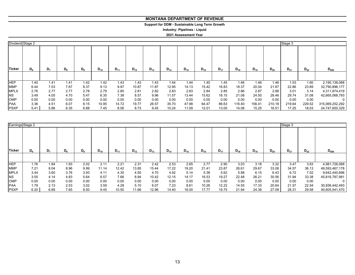# **Support for DDM - Sustainable Long Term Growth**

**Industry: Pipelines - Liquid**

# **2021 Assessment Year**

| Dividend Stage 2 |         |      |       |       |          |          |          |          |          |          |          |          |          |          |          | Stage 3  |          |                 |
|------------------|---------|------|-------|-------|----------|----------|----------|----------|----------|----------|----------|----------|----------|----------|----------|----------|----------|-----------------|
| Ticker           | $D_{6}$ | D,   | $D_8$ | $D_9$ | $D_{10}$ | $D_{11}$ | $D_{12}$ | $D_{13}$ | $D_{14}$ | $D_{15}$ | $D_{16}$ | $D_{17}$ | $D_{18}$ | $D_{19}$ | $D_{20}$ | $D_{21}$ | $D_{22}$ | $D_{500}$       |
|                  |         |      |       |       |          |          |          |          |          |          |          |          |          |          |          |          |          |                 |
| <b>HEP</b>       | 1.40    | 1.41 | 1.41  | 1.42  | 1.42     | 1.43     | 1.43     | 1.43     | 1.44     | 1.44     | 1.45     | 1.45     | 1.46     | 1.46     | 1.46     | 1.53     | 1.60     | 2,195,136,068   |
| <b>MMP</b>       | 6.44    | 7.03 | 7.67  | 8.37  | 9.13     | 9.97     | 10.87    | 11.87    | 12.95    | 14.13    | 15.42    | 16.83    | 18.37    | 20.04    | 21.87    | 22.86    | 23.89    | 32,790,896,177  |
| <b>MPLX</b>      | 2.76    | 2.77 | 2.77  | 2.78  | 2.79     | 2.80     | 2.81     | 2.82     | 2.83     | 2.83     | 2.84     | 2.85     | 2.86     | 2.87     | 2.88     | 3.01     | 3.14     | 4,311,874,419   |
| <b>NS</b>        | 3.49    | 4.05 | 4.70  | 5.47  | 6.35     | 7.38     | 8.57     | 9.96     | 11.57    | 13.44    | 15.62    | 18.15    | 21.08    | 24.50    | 28.46    | 29.74    | 31.08    | 42,665,068,793  |
| OMP              | 0.00    | 0.00 | 0.00  | 0.00  | 0.00     | 0.00     | 0.00     | 0.00     | 0.00     | 0.00     | 0.00     | 0.00     | 0.00     | 0.00     | 0.00     | 0.00     | 0.00     | 0               |
| <b>PAA</b>       | 3.36    | 4.51 | 6.07  | 8.15  | 10.95    | 14.72    | 19.77    | 26.57    | 35.70    | 47.98    | 64.47    | 86.63    | 16.40    | 156.41   | 210.18   | 219.64   | 229.52   | 315,069,252,292 |
| <b>PSXP</b>      | 5.41    | 5.86 | 6.35  | 6.88  | 7.45     | 8.06     | 8.73     | 9.45     | 10.24    | 11.09    | 12.01    | 13.00    | 14.08    | 15.25    | 16.51    | 17.25    | 18.03    | 24,747,600,329  |

|               | Earnings Stage 2 |      |       |                |          |          |          |          |          |          |          |          |          |          | Stage 3  |          |          |                |
|---------------|------------------|------|-------|----------------|----------|----------|----------|----------|----------|----------|----------|----------|----------|----------|----------|----------|----------|----------------|
| <b>Ticker</b> | D <sub>r</sub>   | D,   | $D_8$ | D <sub>9</sub> | $D_{10}$ | $D_{11}$ | $D_{12}$ | $D_{13}$ | $D_{14}$ | $D_{15}$ | $D_{16}$ | $D_{17}$ | $D_{18}$ | $D_{19}$ | $D_{20}$ | $D_{21}$ | $D_{22}$ | $D_{500}$      |
|               |                  |      |       |                |          |          |          |          |          |          |          |          |          |          |          |          |          |                |
| <b>HEP</b>    | 1.76             | 1.84 | 1.93  | 2.02           | 2.11     | 2.21     | 2.31     | 2.42     | 2.53     | 2.65     | 2.77     | 2.90     | 3.03     | 3.18     | 3.32     | 3.47     | 3.63     | 4,981,726,068  |
| <b>MMP</b>    | 7.21             | 8.04 | 8.96  | 9.99           | 11.14    | 12.42    | 13.85    | 15.44    | 17.22    | 19.20    | 21.41    | 23.87    | 26.61    | 29.67    | 33.08    | 34.57    | 36.13    | 49,593,467,178 |
| <b>MPLX</b>   | 3.44             | 3.60 | 3.76  | 3.93           | 4.11     | 4.30     | 4.50     | 4.70     | 4.92     | 5.14     | 5.38     | 5.62     | 5.88     | 6.15     | 6.43     | 6.72     | 7.02     | 9,642,440,696  |
| <b>NS</b>     | 3.55             | 4.14 | 4.83  | 5.64           | 6.57     | 7.66     | 8.94     | 10.42    | 12.15    | 14.17    | 16.53    | 19.27    | 22.48    | 26.21    | 30.56    | 31.94    | 33.38    | 45,816,787,981 |
| <b>OMP</b>    | 0.00             | 0.00 | 0.00  | 0.00           | 0.00     | 0.00     | 0.00     | 0.00     | 0.00     | 0.00     | 0.00     | 0.00     | 0.00     | 0.00     | 0.00     | 0.00     | 0.00     | 0              |
| <b>PAA</b>    | 1.79             | 2.13 | 2.53  | 3.02           | 3.59     | 4.28     | 5.10     | 6.07     | 7.23     | 8.61     | 10.26    | 12.22    | 14.55    | 17.33    | 20.64    | 21.57    | 22.54    | 30,936,442,493 |
| <b>PSXP</b>   | 6.20             | 6.89 | 7.65  | 8.50           | 9.45     | 10.50    | 11.66    | 12.96    | 14.40    | 16.00    | 17.77    | 19.75    | 21.94    | 24.38    | 27.09    | 28.31    | 29.58    | 40,605,541,470 |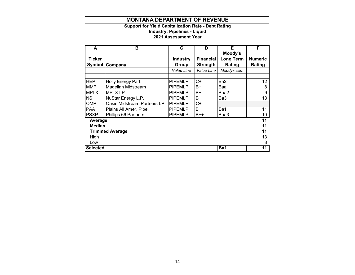# **Support for Yield Capitalization Rate - Debt Rating**

**Industry: Pipelines - Liquid**

# **2021 Assessment Year**

| A               | в                           | C               | D                | Е                | F              |  |  |  |  |
|-----------------|-----------------------------|-----------------|------------------|------------------|----------------|--|--|--|--|
|                 |                             |                 |                  | Moody's          |                |  |  |  |  |
| Ticker          |                             | <b>Industry</b> | <b>Financial</b> | <b>Long Term</b> | <b>Numeric</b> |  |  |  |  |
|                 | <b>Symbol Company</b>       | Group           | <b>Strength</b>  | Rating           | Rating         |  |  |  |  |
|                 |                             | Value Line      | Value Line       | Moodys.com       |                |  |  |  |  |
|                 |                             |                 |                  |                  |                |  |  |  |  |
| <b>HEP</b>      | Holly Energy Part.          | <b>PIPEMLP</b>  | C+               | Ba2              | 12             |  |  |  |  |
| <b>MMP</b>      | Magellan Midstream          | <b>PIPEMLP</b>  | B+               | Baa1             | 8              |  |  |  |  |
| <b>MPLX</b>     | <b>MPLX LP</b>              | <b>PIPEMLP</b>  | B+               | Baa2             | 9              |  |  |  |  |
| <b>INS</b>      | NuStar Energy L.P.          | <b>PIPEMLP</b>  | В                | Ba3              | 13             |  |  |  |  |
| <b>OMP</b>      | Oasis Midstream Partners LP | <b>PIPEMLP</b>  | C+               |                  |                |  |  |  |  |
| <b>PAA</b>      | Plains All Amer. Pipe.      | <b>PIPEMLP</b>  | B                | Ba1              | 11             |  |  |  |  |
| <b>PSXP</b>     | Phillips 66 Partners        | <b>PIPEMLP</b>  | $B++$            | Baa3             | 10             |  |  |  |  |
| Average         |                             |                 |                  |                  | 11             |  |  |  |  |
| <b>Median</b>   |                             |                 |                  |                  | 11             |  |  |  |  |
|                 | <b>Trimmed Average</b>      |                 |                  |                  | 11             |  |  |  |  |
| High            |                             |                 |                  |                  |                |  |  |  |  |
| Low             |                             |                 |                  |                  | 8              |  |  |  |  |
| <b>Selected</b> |                             |                 |                  | Ba1              | 11             |  |  |  |  |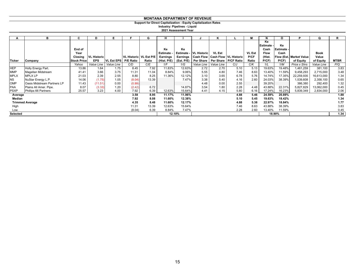# **Support for Direct Capitalization - Equity Capitalization Rates**

**2021 Assessment Year Industry: Pipelines - Liquid**

|               | в                           | C                  | D                  | E.                  |                          | G     | н               |            |                                            | n             |      | М             |                          | Ο                      | P                               | O           | R           |
|---------------|-----------------------------|--------------------|--------------------|---------------------|--------------------------|-------|-----------------|------------|--------------------------------------------|---------------|------|---------------|--------------------------|------------------------|---------------------------------|-------------|-------------|
|               |                             | End of             |                    |                     |                          |       | Ke              | Ke         |                                            |               |      |               | Ke<br>Estimate -<br>Cash | Ke<br><b>IEstimate</b> |                                 |             |             |
|               |                             | Year               |                    |                     |                          |       | <b>Estimate</b> |            | <b>Estimate - VL Historic</b>              | <b>VL Est</b> |      | <b>VL Est</b> | <b>Flow</b>              | Cash                   |                                 | <b>Book</b> |             |
|               |                             | Closing            | <b>VL Historic</b> |                     | VL Historic   VL Est P/E |       | Earnings        | Earnings   | <b>Cash Flow   Cash Flow   VL Historic</b> |               |      | P/CF          | (Hist.                   |                        | <b>Flow (Est. Market Value)</b> | Value       |             |
| <b>Ticker</b> | Company                     | <b>Stock Price</b> | <b>EPS</b>         | <b>IVL Est EPSI</b> | <b>P/E Ratio</b>         | Ratio | (Hist. P/E)     | (Est. P/E) | Per Share   Per Share   P/CF Ratio         |               |      | Ratio         | P(CF)                    | P(CF)                  | of Equity                       | of Equity   | <b>MTBR</b> |
|               |                             | Yahoo              | Value Line         | Value Line          | C/D                      | C/E   | 1/F             | 1/G        | Value Line                                 | Value Line    | C/J  | C/K           | 1/L                      | 1/M                    | Price x Shrs                    | Value Line  | P/Q         |
| <b>HEP</b>    | Holly Energy Part.          | 13.86              | 1.64               | 1.75                | 8.45                     | 7.92  | 11.83%          | 12.63%     | 2.72                                       | 2.70          | 5.10 | 5.13          | 19.63%                   | 19.48%                 | 1,461,259                       | 381,100     | 3.83        |
| <b>MMP</b>    | Magellan Midstream          | 41.41              | 3.66               | 3.75                | 11.31                    | 11.04 | 8.84%           | 9.06%      | 5.55                                       | 4.80          | 7.46 | 8.63          | 13.40%                   | 11.59%                 | 9,458,293                       | 2,715,000   | 3.48        |
| <b>MPLX</b>   | <b>MPLX LP</b>              | 21.03              | 2.39               | 2.55                | 8.80                     | 8.25  | 11.36%          | 12.12%     | 3.10                                       | 3.65          | 6.78 | 5.76          | 14.74%                   | 17.35%                 | 22,259,935                      | 16,613,000  | 1.34        |
| <b>NS</b>     | NuStar Energy L.P.          | 14.06              | (1.75)             | 1.05                | (8.04)                   | 13.39 |                 | 7.47%      | 3.38                                       | 5.40          | 4.16 | 2.60          | 24.03%                   | 38.39%                 | 1,539,608                       | 2,358,100   | 0.65        |
| <b>OMP</b>    | Oasis Midstream Partners LP | 11.43              | (11.51)            | 0.00                | (0.99)                   |       |                 |            | 4.48                                       | 0.00          | 2.55 |               | 39.20%                   |                        | 386,380                         | 292,400     | 1.32        |
| <b>PAA</b>    | Plains All Amer. Pipe.      | 8.07               | (3.33)             | 1.20                | (2.42)                   | 6.72  |                 | 14.87%     | 3.54                                       | 1.80          | 2.28 | 4.48          | 43.88%                   | 22.31%                 | 5,827,829                       | 13,062,000  | 0.45        |
| <b>PSXP</b>   | Phillips 66 Partners        | 25.57              | 3.23               | 4.00                | 7.92                     | 6.39  | 12.63%          | 15.64%     | 4.41                                       | 4.15          | 5.80 | 6.16          | 17.24%                   | 16.23%                 | 5,839,349                       | 2,834,000   | 2.06        |
| Average       |                             |                    |                    |                     | 3.58                     | 8.95  | 11.17%          | 11.96%     |                                            |               | 4.88 | 5.46          | 24.59%                   | 20.89%                 |                                 |             | 1.88        |
| Median        |                             |                    |                    |                     | 7.92                     | 8.08  | 11.60%          | 12.38%     |                                            |               | 5.10 | 5.45          | 19.63%                   | 18.42%                 |                                 |             | 1.34        |
|               | <b>Trimmed Average</b>      |                    |                    |                     | 4.35                     | 8.48  | 11.60%          | 12.17%     |                                            |               | 4.88 | 5.38          | 22.97%                   | 18.84%                 |                                 |             | 1.77        |
| High          |                             |                    |                    |                     | 11.31                    | 13.39 | 12.63%          | 15.64%     |                                            |               | 7.46 | 8.63          | 43.88%                   | 38.39%                 |                                 |             | 3.83        |
| Low           |                             |                    |                    |                     | (8.04)                   | 6.39  | 8.84%           | 7.47%      |                                            |               | 2.28 | 2.60          | 13.40%                   | 11.59%                 |                                 |             | 0.45        |
| Selected      |                             |                    |                    |                     |                          |       |                 | 12.10%     |                                            |               |      |               |                          | 18.90%                 |                                 |             | 1.34        |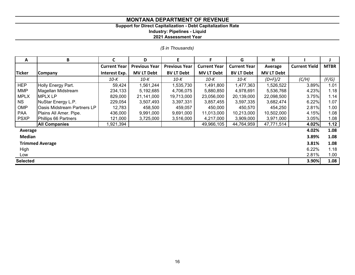# **Support for Direct Capitalization - Debt Capitalization Rate**

**Industry: Pipelines - Liquid**

**2021 Assessment Year**

*(\$ in Thousands)*

| A               | В                           | C                   | D                    | E                    | F                   | G                   | н                 |                      |             |
|-----------------|-----------------------------|---------------------|----------------------|----------------------|---------------------|---------------------|-------------------|----------------------|-------------|
|                 |                             | <b>Current Year</b> | <b>Previous Year</b> | <b>Previous Year</b> | <b>Current Year</b> | <b>Current Year</b> | Average           | <b>Current Yield</b> | <b>MTBR</b> |
| <b>Ticker</b>   | <b>Company</b>              | Interest Exp.       | <b>MV LT Debt</b>    | <b>BV LT Debt</b>    | <b>MV LT Debt</b>   | <b>BV LT Debt</b>   | <b>MV LT Debt</b> |                      |             |
|                 |                             | 10-K                | 10-K                 | 10-K                 | $10-K$              | $10-K$              | $(D+F)/2$         | (C/H)                | (F/G)       |
| <b>HEP</b>      | Holly Energy Part.          | 59,424              | 1,561,244            | 1,535,730            | 1,491,800           | 1,477,363           | 1,526,522         | 3.89%                | 1.01        |
| <b>MMP</b>      | Magellan Midstream          | 234,133             | 5,192,685            | 4,706,075            | 5,880,850           | 4,978,691           | 5,536,768         | 4.23%                | 1.18        |
| <b>MPLX</b>     | <b>MPLX LP</b>              | 829,000             | 21,141,000           | 19,713,000           | 23,056,000          | 20,139,000          | 22,098,500        | 3.75%                | 1.14        |
| NS.             | NuStar Energy L.P.          | 229,054             | 3,507,493            | 3,397,331            | 3,857,455           | 3,597,335           | 3,682,474         | 6.22%                | 1.07        |
| OMP             | Oasis Midstream Partners LP | 12,783              | 458,500              | 459,057              | 450,000             | 450,570             | 454,250           | 2.81%                | 1.00        |
| PAA             | Plains All Amer. Pipe.      | 436,000             | 9,991,000            | 9,691,000            | 11,013,000          | 10,213,000          | 10,502,000        | 4.15%                | 1.08        |
| <b>PSXP</b>     | Phillips 66 Partners        | 121,000             | 3,725,000            | 3,516,000            | 4,217,000           | 3,909,000           | 3,971,000         | 3.05%                | 1.08        |
|                 | <b>All Companies</b>        | 1,921,394           |                      |                      | 49,966,105          | 44,764,959          | 47,771,514        | 4.02%                | 1.12        |
| Average         |                             |                     |                      |                      |                     |                     |                   | 4.02%                | 1.08        |
| <b>Median</b>   |                             |                     |                      |                      |                     |                     |                   | 3.89%                | 1.08        |
|                 | <b>Trimmed Average</b>      |                     |                      |                      |                     |                     |                   | 3.81%                | 1.08        |
| High            |                             |                     |                      |                      |                     |                     |                   | 6.22%                | 1.18        |
| Low             |                             |                     |                      |                      |                     |                     |                   | 2.81%                | 1.00        |
| <b>Selected</b> |                             |                     |                      |                      |                     |                     |                   | 3.90%                | 1.08        |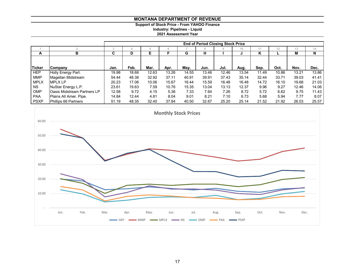**Support of Stock Price - From YAHOO Finance**

**Industry: Pipelines - Liquid**

**2021 Assessment Year**

|               |                                    | <b>End of Period Closing Stock Price</b> |       |       |       |       |       |       |       |       |       |       |       |  |
|---------------|------------------------------------|------------------------------------------|-------|-------|-------|-------|-------|-------|-------|-------|-------|-------|-------|--|
|               |                                    | -5                                       |       |       | 16    |       | 8     |       | 10    | 11    | 12    | 13    | 14    |  |
| A             | в                                  | C                                        |       | Е     |       | G     | н     |       |       | ĸ     |       | M     | N     |  |
|               |                                    |                                          |       |       |       |       |       |       |       |       |       |       |       |  |
| <b>Ticker</b> | Company                            | Jan.                                     | Feb.  | Mar.  | Apr.  | May.  | Jun.  | Jul.  | Aug.  | Sep.  | Oct.  | Nov.  | Dec.  |  |
| <b>HEP</b>    | Holly Energy Part.                 | 19.98                                    | 18.68 | 12.63 | 13.26 | 14.55 | 13.46 | 12.46 | 13.54 | 11.49 | 10.86 | 13.21 | 13.86 |  |
| <b>MMP</b>    | Magellan Midstream                 | 54.44                                    | 48.38 | 32.92 | 37.11 | 40.91 | 39.91 | 37.43 | 35.14 | 32.44 | 33.71 | 39.03 | 41.41 |  |
| <b>MPLX</b>   | <b>IMPLX LP</b>                    | 20.23                                    | 17.06 | 10.06 | 15.67 | 16.44 | 15.59 | 16.48 | 16.48 | 14.72 | 16.10 | 19.68 | 21.03 |  |
| <b>NS</b>     | NuStar Energy L.P.                 | 23.61                                    | 19.63 | 7.59  | 10.76 | 15.35 | 13.04 | 13.13 | 12.37 | 9.96  | 9.27  | 12.46 | 14.06 |  |
| <b>OMP</b>    | <b>Oasis Midstream Partners LP</b> | 12.58                                    | 9.72  | 4.15  | 5.36  | 7.33  | 7.64  | 7.26  | 8.72  | 5.72  | 6.62  | 9.75  | 11.43 |  |
| <b>PAA</b>    | Plains All Amer. Pipe.             | 14.84                                    | 12.44 | 4.81  | 8.04  | 9.01  | 8.21  | 7.10  | 6.73  | 5.68  | 5.94  | 7.77  | 8.07  |  |
| <b>PSXP</b>   | Phillips 66 Partners               | 51.19                                    | 48.35 | 32.40 | 37.84 | 40.50 | 32.67 | 25.20 | 25.14 | 21.52 | 21.92 | 26.03 | 25.57 |  |